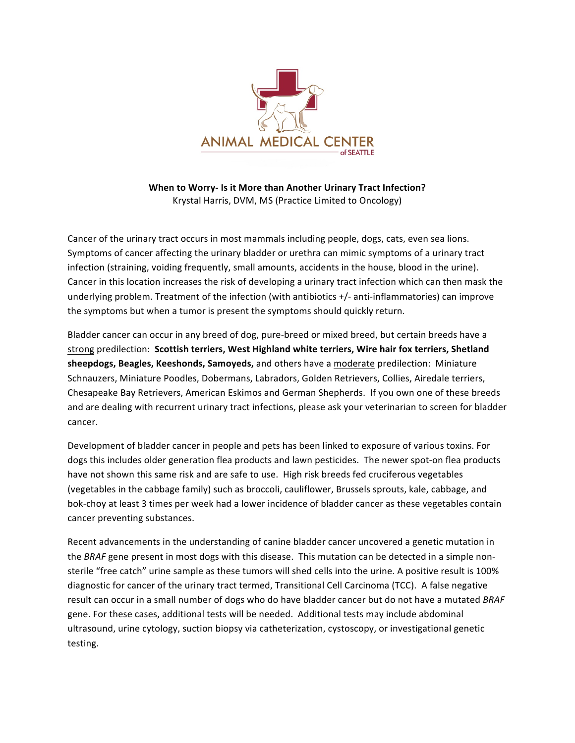

**When to Worry- Is it More than Another Urinary Tract Infection?** Krystal Harris, DVM, MS (Practice Limited to Oncology)

Cancer of the urinary tract occurs in most mammals including people, dogs, cats, even sea lions. Symptoms of cancer affecting the urinary bladder or urethra can mimic symptoms of a urinary tract infection (straining, voiding frequently, small amounts, accidents in the house, blood in the urine). Cancer in this location increases the risk of developing a urinary tract infection which can then mask the underlying problem. Treatment of the infection (with antibiotics  $+/-$  anti-inflammatories) can improve the symptoms but when a tumor is present the symptoms should quickly return.

Bladder cancer can occur in any breed of dog, pure-breed or mixed breed, but certain breeds have a strong predilection: Scottish terriers, West Highland white terriers, Wire hair fox terriers, Shetland **sheepdogs, Beagles, Keeshonds, Samoyeds,** and others have a moderate predilection: Miniature Schnauzers, Miniature Poodles, Dobermans, Labradors, Golden Retrievers, Collies, Airedale terriers, Chesapeake Bay Retrievers, American Eskimos and German Shepherds. If you own one of these breeds and are dealing with recurrent urinary tract infections, please ask your veterinarian to screen for bladder cancer. 

Development of bladder cancer in people and pets has been linked to exposure of various toxins. For dogs this includes older generation flea products and lawn pesticides. The newer spot-on flea products have not shown this same risk and are safe to use. High risk breeds fed cruciferous vegetables (vegetables in the cabbage family) such as broccoli, cauliflower, Brussels sprouts, kale, cabbage, and bok-choy at least 3 times per week had a lower incidence of bladder cancer as these vegetables contain cancer preventing substances.

Recent advancements in the understanding of canine bladder cancer uncovered a genetic mutation in the *BRAF* gene present in most dogs with this disease. This mutation can be detected in a simple nonsterile "free catch" urine sample as these tumors will shed cells into the urine. A positive result is 100% diagnostic for cancer of the urinary tract termed, Transitional Cell Carcinoma (TCC). A false negative result can occur in a small number of dogs who do have bladder cancer but do not have a mutated *BRAF* gene. For these cases, additional tests will be needed. Additional tests may include abdominal ultrasound, urine cytology, suction biopsy via catheterization, cystoscopy, or investigational genetic testing.